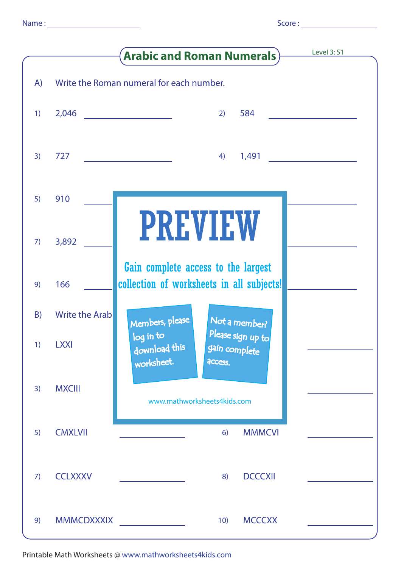|  | i |  |
|--|---|--|

|    |                       | Level 3: S1<br><b>Arabic and Roman Numerals</b> )                                         |  |
|----|-----------------------|-------------------------------------------------------------------------------------------|--|
| A) |                       | Write the Roman numeral for each number.                                                  |  |
| 1) | 2,046                 | 584<br>2)<br><u> 1980 - Andrea Andrew Maria III (b. 19</u>                                |  |
| 3) | 727                   | 1,491<br>4)                                                                               |  |
| 5) | 910                   |                                                                                           |  |
| 7) | 3,892                 | <b>PREVIEW</b>                                                                            |  |
| 9) | 166                   | Gain complete access to the largest<br>collection of worksheets in all subjects!          |  |
| B) | <b>Write the Arab</b> | Members, please<br>Not a member?                                                          |  |
| 1) | <b>LXXI</b>           | Please sign up to<br>log in to<br>download this<br>gain complete<br>worksheet.<br>access. |  |
| 3) | <b>MXCIII</b>         | www.mathworksheets4kids.com                                                               |  |
| 5) | <b>CMXLVII</b>        | <b>MMMCVI</b><br>6)                                                                       |  |
| 7) | <b>CCLXXXV</b>        | <b>DCCCXII</b><br>8)                                                                      |  |
| 9) | <b>MMMCDXXXIX</b>     | <b>MCCCXX</b><br>10)<br><u> 1999 - Jan Barnett, politik politik (</u>                     |  |

Printable Math Worksheets @ www.mathworksheets4kids.com